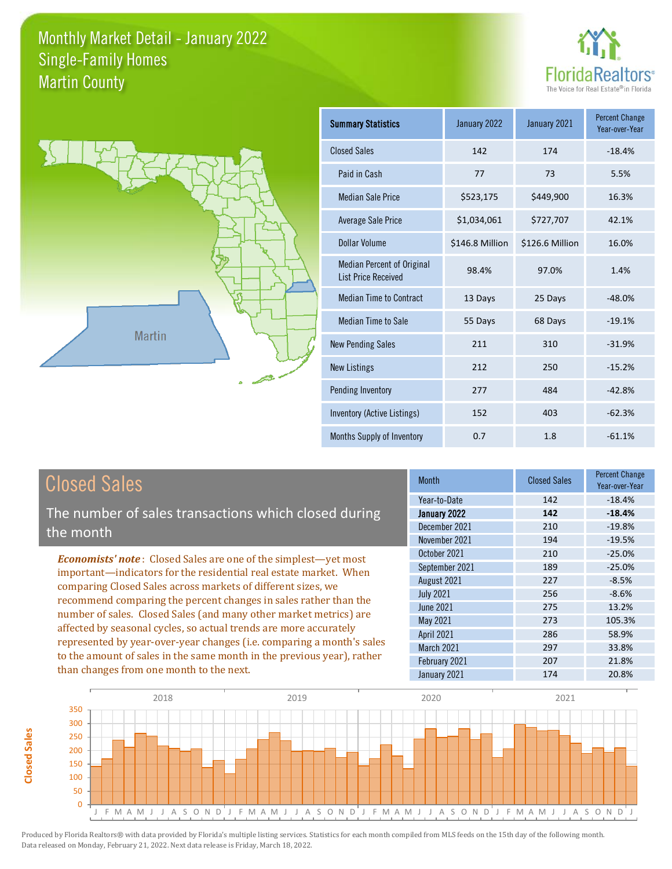



**Closed Sales**

**Closed Sales** 

| <b>Summary Statistics</b>                                       | January 2022    | January 2021    | <b>Percent Change</b><br>Year-over-Year |
|-----------------------------------------------------------------|-----------------|-----------------|-----------------------------------------|
| <b>Closed Sales</b>                                             | 142             | 174             | $-18.4%$                                |
| Paid in Cash                                                    | 77              | 73              | 5.5%                                    |
| <b>Median Sale Price</b>                                        | \$523,175       | \$449,900       | 16.3%                                   |
| Average Sale Price                                              | \$1,034,061     | \$727,707       | 42.1%                                   |
| Dollar Volume                                                   | \$146.8 Million | \$126.6 Million | 16.0%                                   |
| <b>Median Percent of Original</b><br><b>List Price Received</b> | 98.4%           | 97.0%           | 1.4%                                    |
| <b>Median Time to Contract</b>                                  | 13 Days         | 25 Days         | $-48.0%$                                |
| <b>Median Time to Sale</b>                                      | 55 Days         | 68 Days         | $-19.1%$                                |
| <b>New Pending Sales</b>                                        | 211             | 310             | $-31.9%$                                |
| <b>New Listings</b>                                             | 212             | 250             | $-15.2%$                                |
| Pending Inventory                                               | 277             | 484             | $-42.8%$                                |
| Inventory (Active Listings)                                     | 152             | 403             | $-62.3%$                                |
| Months Supply of Inventory                                      | 0.7             | 1.8             | $-61.1%$                                |

| <b>Closed Sales</b>                                                    | <b>Month</b>     | <b>Closed Sales</b> | <b>Percent Change</b><br>Year-over-Year |
|------------------------------------------------------------------------|------------------|---------------------|-----------------------------------------|
|                                                                        | Year-to-Date     | 142                 | $-18.4%$                                |
| The number of sales transactions which closed during                   | January 2022     | 142                 | $-18.4%$                                |
| the month                                                              | December 2021    | 210                 | $-19.8%$                                |
|                                                                        | November 2021    | 194                 | $-19.5%$                                |
| <b>Economists' note:</b> Closed Sales are one of the simplest—yet most | October 2021     | 210                 | $-25.0%$                                |
| important—indicators for the residential real estate market. When      | September 2021   | 189                 | $-25.0%$                                |
| comparing Closed Sales across markets of different sizes, we           | August 2021      | 227                 | $-8.5%$                                 |
| recommend comparing the percent changes in sales rather than the       | <b>July 2021</b> | 256                 | $-8.6%$                                 |
|                                                                        | <b>June 2021</b> | 275                 | 13.2%                                   |
| number of sales. Closed Sales (and many other market metrics) are      | May 2021         | 273                 | 105.3%                                  |
| affected by seasonal cycles, so actual trends are more accurately      | April 2021       | 286                 | 58.9%                                   |
| represented by year-over-year changes (i.e. comparing a month's sales  | March 2021       | 297                 | 33.8%                                   |
| to the amount of sales in the same month in the previous year), rather | February 2021    | 207                 | 21.8%                                   |
| than changes from one month to the next.                               | January 2021     | 174                 | 20.8%                                   |

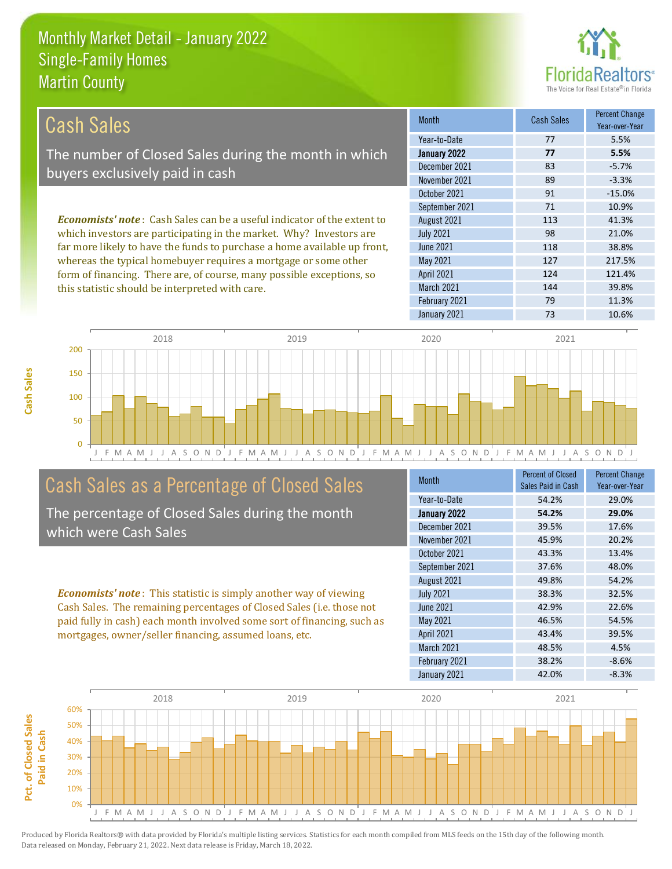this statistic should be interpreted with care.



144 39.8%

| Cash Sales                                                                      | <b>Month</b>      | <b>Cash Sales</b> | <b>Percent Change</b><br>Year-over-Year |
|---------------------------------------------------------------------------------|-------------------|-------------------|-----------------------------------------|
|                                                                                 | Year-to-Date      | 77                | 5.5%                                    |
| The number of Closed Sales during the month in which                            | January 2022      | 77                | 5.5%                                    |
| buyers exclusively paid in cash                                                 | December 2021     | 83                | $-5.7%$                                 |
|                                                                                 | November 2021     | 89                | $-3.3%$                                 |
|                                                                                 | October 2021      | 91                | $-15.0%$                                |
|                                                                                 | September 2021    | 71                | 10.9%                                   |
| <b>Economists' note</b> : Cash Sales can be a useful indicator of the extent to | August 2021       | 113               | 41.3%                                   |
| which investors are participating in the market. Why? Investors are             | <b>July 2021</b>  | 98                | 21.0%                                   |
| far more likely to have the funds to purchase a home available up front,        | June 2021         | 118               | 38.8%                                   |
| whereas the typical homebuyer requires a mortgage or some other                 | May 2021          | 127               | 217.5%                                  |
| form of financing. There are, of course, many possible exceptions, so           | <b>April 2021</b> | 124               | 121.4%                                  |



# Cash Sales as a Percentage of Closed Sales

The percentage of Closed Sales during the month which were Cash Sales

*Economists' note* : This statistic is simply another way of viewing Cash Sales. The remaining percentages of Closed Sales (i.e. those not paid fully in cash) each month involved some sort of financing, such as mortgages, owner/seller financing, assumed loans, etc.

| <b>Month</b>      | <b>Percent of Closed</b><br>Sales Paid in Cash | <b>Percent Change</b><br>Year-over-Year |
|-------------------|------------------------------------------------|-----------------------------------------|
| Year-to-Date      | 54.2%                                          | 29.0%                                   |
| January 2022      | 54.2%                                          | 29.0%                                   |
| December 2021     | 39.5%                                          | 17.6%                                   |
| November 2021     | 45.9%                                          | 20.2%                                   |
| October 2021      | 43.3%                                          | 13.4%                                   |
| September 2021    | 37.6%                                          | 48.0%                                   |
| August 2021       | 49.8%                                          | 54.2%                                   |
| <b>July 2021</b>  | 38.3%                                          | 32.5%                                   |
| June 2021         | 42.9%                                          | 22.6%                                   |
| <b>May 2021</b>   | 46.5%                                          | 54.5%                                   |
| April 2021        | 43.4%                                          | 39.5%                                   |
| <b>March 2021</b> | 48.5%                                          | 4.5%                                    |
| February 2021     | 38.2%                                          | $-8.6%$                                 |
| January 2021      | 42.0%                                          | $-8.3%$                                 |

January 2021 73 73 10.6%

February 2021 79 79 11.3%

March 2021

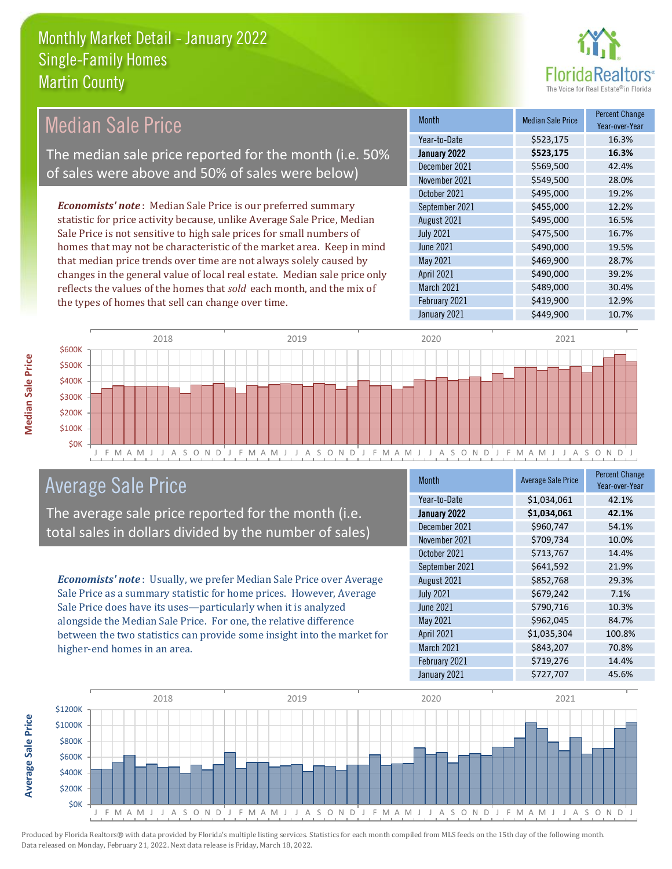

#### Month Median Sale Price Percent Change Year-over-Year January 2022 **\$523,175 16.3%** Year-to-Date \$523,175 16.3% June 2021 **\$490,000** \$490,000 19.5% December 2021 \$569,500 42.4% November 2021 **\$549,500** 28.0% August 2021 \$495,000 16.5% July 2021 **\$475,500** \$475,500 16.7% October 2021 **\$495,000** 19.2% September 2021 **\$455,000** 12.2% May 2021 **\$469,900** \$469,900 28.7% April 2021 **\$490,000** \$490,000 39.2% March 2021 **\$489,000** \$489,000 February 2021 **\$419,900** 12.9% January 2021 **\$449,900** 10.7% *Economists' note* : Median Sale Price is our preferred summary statistic for price activity because, unlike Average Sale Price, Median Sale Price is not sensitive to high sale prices for small numbers of homes that may not be characteristic of the market area. Keep in mind that median price trends over time are not always solely caused by changes in the general value of local real estate. Median sale price only reflects the values of the homes that *sold* each month, and the mix of the types of homes that sell can change over time. Median Sale Price The median sale price reported for the month (i.e. 50% of sales were above and 50% of sales were below)



### Average Sale Price

The average sale price reported for the month (i.e. total sales in dollars divided by the number of sales)

*Economists' note* : Usually, we prefer Median Sale Price over Average Sale Price as a summary statistic for home prices. However, Average Sale Price does have its uses—particularly when it is analyzed alongside the Median Sale Price. For one, the relative difference between the two statistics can provide some insight into the market for higher-end homes in an area.

| Month             | <b>Average Sale Price</b> | <b>Percent Change</b><br>Year-over-Year |
|-------------------|---------------------------|-----------------------------------------|
| Year-to-Date      | \$1,034,061               | 42.1%                                   |
| January 2022      | \$1,034,061               | 42.1%                                   |
| December 2021     | \$960,747                 | 54.1%                                   |
| November 2021     | \$709,734                 | 10.0%                                   |
| October 2021      | \$713,767                 | 14.4%                                   |
| September 2021    | \$641,592                 | 21.9%                                   |
| August 2021       | \$852,768                 | 29.3%                                   |
| <b>July 2021</b>  | \$679,242                 | 7.1%                                    |
| June 2021         | \$790,716                 | 10.3%                                   |
| <b>May 2021</b>   | \$962,045                 | 84.7%                                   |
| <b>April 2021</b> | \$1,035,304               | 100.8%                                  |
| March 2021        | \$843,207                 | 70.8%                                   |
| February 2021     | \$719,276                 | 14.4%                                   |
| January 2021      | \$727,707                 | 45.6%                                   |

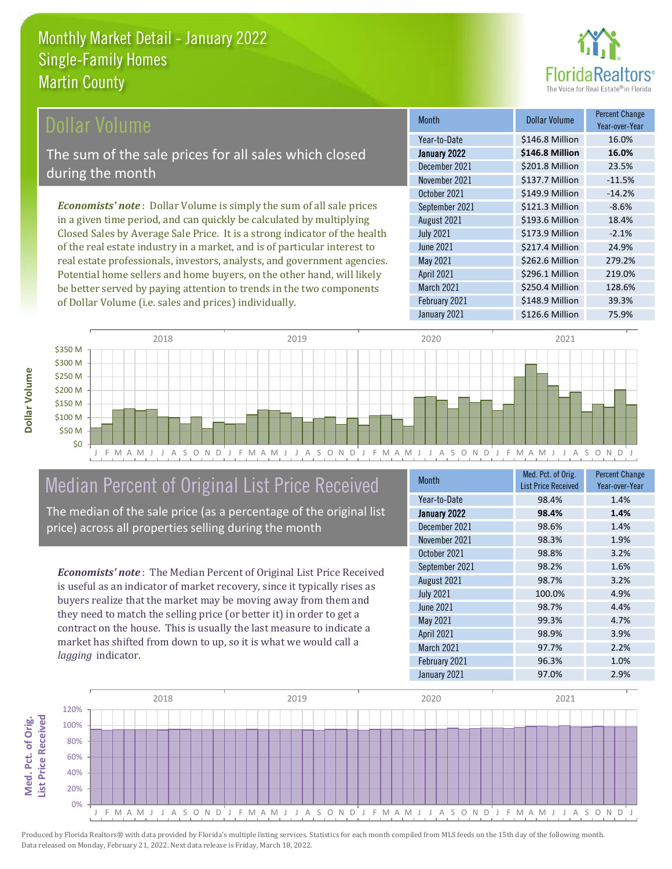

#### Dollar Volume

The sum of the sale prices for all sales which closed during the month

*Economists' note* : Dollar Volume is simply the sum of all sale prices in a given time period, and can quickly be calculated by multiplying Closed Sales by Average Sale Price. It is a strong indicator of the health of the real estate industry in a market, and is of particular interest to real estate professionals, investors, analysts, and government agencies. Potential home sellers and home buyers, on the other hand, will likely be better served by paying attention to trends in the two components of Dollar Volume (i.e. sales and prices) individually.

| <b>Month</b>     | Dollar Volume   | <b>Percent Change</b><br>Year-over-Year |
|------------------|-----------------|-----------------------------------------|
| Year-to-Date     | \$146.8 Million | 16.0%                                   |
| January 2022     | \$146.8 Million | 16.0%                                   |
| December 2021    | \$201.8 Million | 23.5%                                   |
| November 2021    | \$137.7 Million | $-11.5%$                                |
| October 2021     | \$149.9 Million | $-14.2%$                                |
| September 2021   | \$121.3 Million | $-8.6%$                                 |
| August 2021      | \$193.6 Million | 18.4%                                   |
| <b>July 2021</b> | \$173.9 Million | $-2.1%$                                 |
| <b>June 2021</b> | \$217.4 Million | 24.9%                                   |
| <b>May 2021</b>  | \$262.6 Million | 279.2%                                  |
| April 2021       | \$296.1 Million | 219.0%                                  |
| March 2021       | \$250.4 Million | 128.6%                                  |
| February 2021    | \$148.9 Million | 39.3%                                   |
| January 2021     | \$126.6 Million | 75.9%                                   |



# Median Percent of Original List Price Received

The median of the sale price (as a percentage of the original list price) across all properties selling during the month

*Economists' note* : The Median Percent of Original List Price Received is useful as an indicator of market recovery, since it typically rises as buyers realize that the market may be moving away from them and they need to match the selling price (or better it) in order to get a contract on the house. This is usually the last measure to indicate a market has shifted from down to up, so it is what we would call a *lagging* indicator.

| <b>Month</b>     | Med. Pct. of Orig.<br><b>List Price Received</b> | <b>Percent Change</b><br>Year-over-Year |
|------------------|--------------------------------------------------|-----------------------------------------|
| Year-to-Date     | 98.4%                                            | 1.4%                                    |
| January 2022     | 98.4%                                            | 1.4%                                    |
| December 2021    | 98.6%                                            | 1.4%                                    |
| November 2021    | 98.3%                                            | 1.9%                                    |
| October 2021     | 98.8%                                            | 3.2%                                    |
| September 2021   | 98.2%                                            | 1.6%                                    |
| August 2021      | 98.7%                                            | 3.2%                                    |
| <b>July 2021</b> | 100.0%                                           | 4.9%                                    |
| June 2021        | 98.7%                                            | 4.4%                                    |
| May 2021         | 99.3%                                            | 4.7%                                    |
| April 2021       | 98.9%                                            | 3.9%                                    |
| March 2021       | 97.7%                                            | 2.2%                                    |
| February 2021    | 96.3%                                            | 1.0%                                    |
| January 2021     | 97.0%                                            | 2.9%                                    |

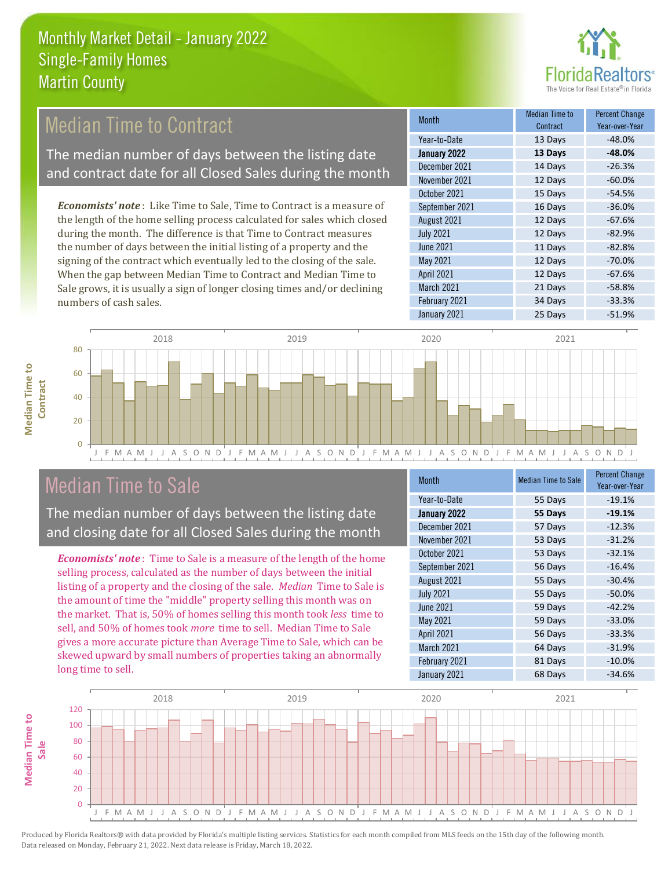

# Median Time to Contract

The median number of days between the listing date and contract date for all Closed Sales during the month

*Economists' note* : Like Time to Sale, Time to Contract is a measure of the length of the home selling process calculated for sales which closed during the month. The difference is that Time to Contract measures the number of days between the initial listing of a property and the signing of the contract which eventually led to the closing of the sale. When the gap between Median Time to Contract and Median Time to Sale grows, it is usually a sign of longer closing times and/or declining numbers of cash sales.

| <b>Month</b>     | <b>Median Time to</b><br>Contract | <b>Percent Change</b><br>Year-over-Year |
|------------------|-----------------------------------|-----------------------------------------|
| Year-to-Date     | 13 Days                           | $-48.0%$                                |
| January 2022     | 13 Days                           | $-48.0%$                                |
| December 2021    | 14 Days                           | $-26.3%$                                |
| November 2021    | 12 Days                           | $-60.0%$                                |
| October 2021     | 15 Days                           | $-54.5%$                                |
| September 2021   | 16 Days                           | $-36.0%$                                |
| August 2021      | 12 Days                           | $-67.6%$                                |
| <b>July 2021</b> | 12 Days                           | $-82.9%$                                |
| June 2021        | 11 Days                           | $-82.8%$                                |
| May 2021         | 12 Days                           | $-70.0%$                                |
| April 2021       | 12 Days                           | $-67.6%$                                |
| March 2021       | 21 Days                           | $-58.8%$                                |
| February 2021    | 34 Days                           | $-33.3%$                                |
| January 2021     | วร Dave                           | $-519%$                                 |



| October 2021     | 15 Days | $-54.5%$ |
|------------------|---------|----------|
| September 2021   | 16 Days | $-36.0%$ |
| August 2021      | 12 Days | $-67.6%$ |
| <b>July 2021</b> | 12 Days | $-82.9%$ |
| <b>June 2021</b> | 11 Days | $-82.8%$ |
| May 2021         | 12 Days | $-70.0%$ |
| April 2021       | 12 Days | $-67.6%$ |
| March 2021       | 21 Days | $-58.8%$ |
| February 2021    | 34 Days | $-33.3%$ |
| January 2021     | 25 Days | $-51.9%$ |
|                  |         |          |
| 2020             | 2021    |          |



# Median Time to Sale

0

The median number of days between the listing date and closing date for all Closed Sales during the month

*Economists' note* : Time to Sale is a measure of the length of the home selling process, calculated as the number of days between the initial listing of a property and the closing of the sale. *Median* Time to Sale is the amount of time the "middle" property selling this month was on the market. That is, 50% of homes selling this month took *less* time to sell, and 50% of homes took *more* time to sell. Median Time to Sale gives a more accurate picture than Average Time to Sale, which can be skewed upward by small numbers of properties taking an abnormally long time to sell.

| <b>Month</b>     | <b>Median Time to Sale</b> | <b>Percent Change</b><br>Year-over-Year |
|------------------|----------------------------|-----------------------------------------|
| Year-to-Date     | 55 Days                    | $-19.1%$                                |
| January 2022     | 55 Days                    | $-19.1%$                                |
| December 2021    | 57 Days                    | $-12.3%$                                |
| November 2021    | 53 Days                    | $-31.2%$                                |
| October 2021     | 53 Days                    | $-32.1%$                                |
| September 2021   | 56 Days                    | $-16.4%$                                |
| August 2021      | 55 Days                    | $-30.4%$                                |
| <b>July 2021</b> | 55 Days                    | $-50.0%$                                |
| <b>June 2021</b> | 59 Days                    | $-42.2%$                                |
| May 2021         | 59 Days                    | $-33.0%$                                |
| April 2021       | 56 Days                    | $-33.3%$                                |
| March 2021       | 64 Days                    | $-31.9%$                                |
| February 2021    | 81 Days                    | $-10.0%$                                |
| January 2021     | 68 Days                    | $-34.6%$                                |

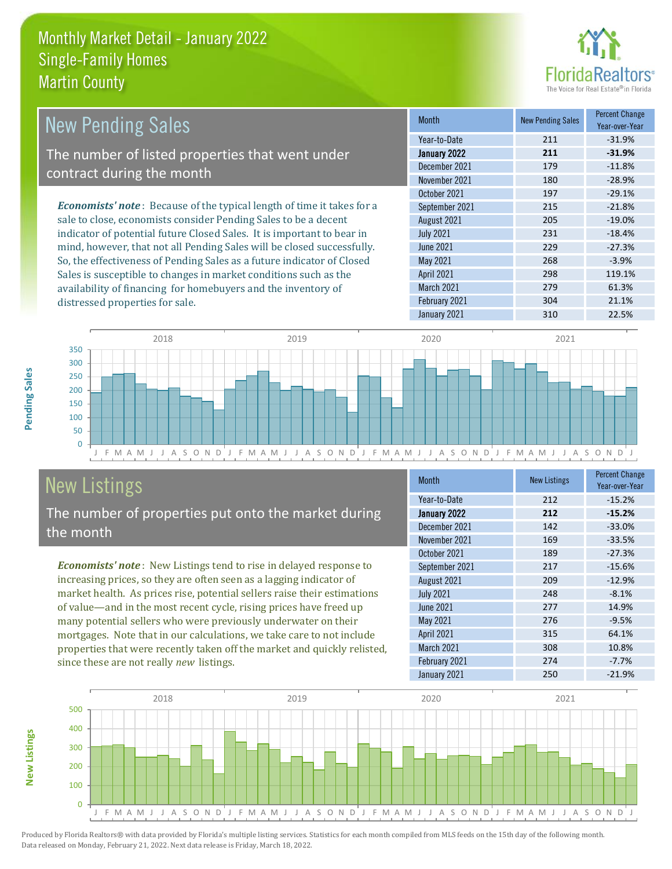

| <b>New Pending Sales</b>                                                      | <b>Month</b>      | <b>New Pending Sales</b> | <b>Percent Change</b><br>Year-over-Year |
|-------------------------------------------------------------------------------|-------------------|--------------------------|-----------------------------------------|
|                                                                               | Year-to-Date      | 211                      | $-31.9%$                                |
| The number of listed properties that went under                               | January 2022      | 211                      | $-31.9%$                                |
| contract during the month                                                     | December 2021     | 179                      | $-11.8%$                                |
|                                                                               | November 2021     | 180                      | $-28.9%$                                |
|                                                                               | October 2021      | 197                      | $-29.1%$                                |
| <b>Economists' note:</b> Because of the typical length of time it takes for a | September 2021    | 215                      | $-21.8%$                                |
| sale to close, economists consider Pending Sales to be a decent               | August 2021       | 205                      | $-19.0\%$                               |
| indicator of potential future Closed Sales. It is important to bear in        | <b>July 2021</b>  | 231                      | $-18.4%$                                |
| mind, however, that not all Pending Sales will be closed successfully.        | <b>June 2021</b>  | 229                      | $-27.3%$                                |
| So, the effectiveness of Pending Sales as a future indicator of Closed        | May 2021          | 268                      | $-3.9%$                                 |
| Sales is susceptible to changes in market conditions such as the              | <b>April 2021</b> | 298                      | 119.1%                                  |



# New Listings

distressed properties for sale.

The number of properties put onto the market during the month

availability of financing for homebuyers and the inventory of

*Economists' note* : New Listings tend to rise in delayed response to increasing prices, so they are often seen as a lagging indicator of market health. As prices rise, potential sellers raise their estimations of value—and in the most recent cycle, rising prices have freed up many potential sellers who were previously underwater on their mortgages. Note that in our calculations, we take care to not include properties that were recently taken off the market and quickly relisted, since these are not really *new* listings.

| <b>Month</b>     | <b>New Listings</b> | <b>Percent Change</b><br>Year-over-Year |
|------------------|---------------------|-----------------------------------------|
| Year-to-Date     | 212                 | $-15.2%$                                |
| January 2022     | 212                 | $-15.2%$                                |
| December 2021    | 142                 | $-33.0%$                                |
| November 2021    | 169                 | $-33.5%$                                |
| October 2021     | 189                 | $-27.3%$                                |
| September 2021   | 217                 | $-15.6%$                                |
| August 2021      | 209                 | $-12.9%$                                |
| <b>July 2021</b> | 248                 | $-8.1%$                                 |
| <b>June 2021</b> | 277                 | 14.9%                                   |
| May 2021         | 276                 | $-9.5%$                                 |
| April 2021       | 315                 | 64.1%                                   |
| March 2021       | 308                 | 10.8%                                   |
| February 2021    | 274                 | $-7.7%$                                 |
| January 2021     | 250                 | $-21.9%$                                |

March 2021 279 61.3% February 2021 304 21.1% January 2021 310 310 22.5%



**New Listings**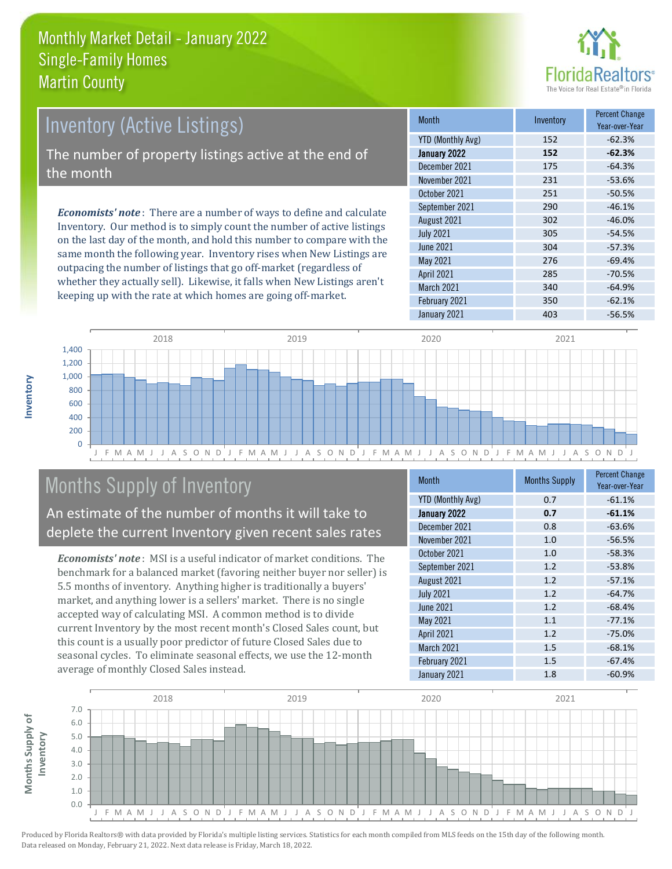

# *Economists' note* : There are a number of ways to define and calculate Inventory (Active Listings) The number of property listings active at the end of the month

Inventory. Our method is to simply count the number of active listings on the last day of the month, and hold this number to compare with the same month the following year. Inventory rises when New Listings are outpacing the number of listings that go off-market (regardless of whether they actually sell). Likewise, it falls when New Listings aren't keeping up with the rate at which homes are going off-market.

| <b>Month</b>             | Inventory | <b>Percent Change</b><br>Year-over-Year |
|--------------------------|-----------|-----------------------------------------|
| <b>YTD (Monthly Avg)</b> | 152       | $-62.3%$                                |
| January 2022             | 152       | $-62.3%$                                |
| December 2021            | 175       | $-64.3%$                                |
| November 2021            | 231       | $-53.6%$                                |
| October 2021             | 251       | $-50.5%$                                |
| September 2021           | 290       | $-46.1%$                                |
| August 2021              | 302       | $-46.0%$                                |
| <b>July 2021</b>         | 305       | $-54.5%$                                |
| June 2021                | 304       | $-57.3%$                                |
| May 2021                 | 276       | $-69.4%$                                |
| April 2021               | 285       | $-70.5%$                                |
| March 2021               | 340       | $-64.9%$                                |
| February 2021            | 350       | $-62.1%$                                |
| January 2021             | 403       | $-56.5%$                                |



# Months Supply of Inventory

An estimate of the number of months it will take to deplete the current Inventory given recent sales rates

*Economists' note* : MSI is a useful indicator of market conditions. The benchmark for a balanced market (favoring neither buyer nor seller) is 5.5 months of inventory. Anything higher is traditionally a buyers' market, and anything lower is a sellers' market. There is no single accepted way of calculating MSI. A common method is to divide current Inventory by the most recent month's Closed Sales count, but this count is a usually poor predictor of future Closed Sales due to seasonal cycles. To eliminate seasonal effects, we use the 12-month average of monthly Closed Sales instead.

| <b>Month</b>             | <b>Months Supply</b> | <b>Percent Change</b><br>Year-over-Year |
|--------------------------|----------------------|-----------------------------------------|
| <b>YTD (Monthly Avg)</b> | 0.7                  | $-61.1%$                                |
| January 2022             | 0.7                  | $-61.1%$                                |
| December 2021            | 0.8                  | $-63.6%$                                |
| November 2021            | 1.0                  | $-56.5%$                                |
| October 2021             | 1.0                  | $-58.3%$                                |
| September 2021           | 1.2                  | $-53.8%$                                |
| August 2021              | 1.2                  | $-57.1%$                                |
| <b>July 2021</b>         | 1.2                  | $-64.7%$                                |
| <b>June 2021</b>         | 1.2                  | $-68.4%$                                |
| May 2021                 | 1.1                  | $-77.1%$                                |
| <b>April 2021</b>        | 1.2                  | $-75.0%$                                |
| March 2021               | 1.5                  | $-68.1%$                                |
| February 2021            | 1.5                  | $-67.4%$                                |
| January 2021             | 1.8                  | $-60.9%$                                |

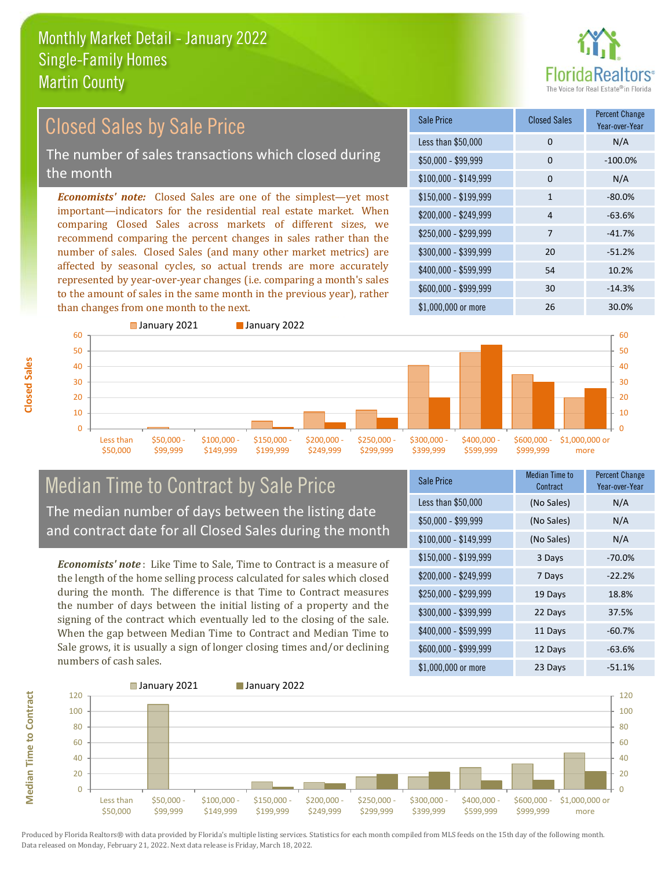

#### *Economists' note:* Closed Sales are one of the simplest—yet most important—indicators for the residential real estate market. When comparing Closed Sales across markets of different sizes, we recommend comparing the percent changes in sales rather than the number of sales. Closed Sales (and many other market metrics) are affected by seasonal cycles, so actual trends are more accurately represented by year-over-year changes (i.e. comparing a month's sales to the amount of sales in the same month in the previous year), rather  $$250,000 - $299,999$  7 -41.7% \$300,000 - \$399,999 20 -51.2% \$400,000 - \$599,999 54 10.2% \$600,000 - \$999,999 30 -14.3% \$150,000 - \$199,999 1 -80.0%  $$200.000 - $249.999$  4 -63.6%  $$100,000 - $149,999$  0 N/A Sale Price Closed Sales Percent Change Year-over-Year Less than \$50,000 0 0 N/A  $$50.000 - $99.999$  0  $-100.0\%$ Closed Sales by Sale Price The number of sales transactions which closed during the month

**Closed Sales**

**Median Time to Contract**

**Median Time to Contract** 



### Median Time to Contract by Sale Price The median number of days between the listing date and contract date for all Closed Sales during the month

*Economists' note* : Like Time to Sale, Time to Contract is a measure of the length of the home selling process calculated for sales which closed during the month. The difference is that Time to Contract measures the number of days between the initial listing of a property and the signing of the contract which eventually led to the closing of the sale. When the gap between Median Time to Contract and Median Time to Sale grows, it is usually a sign of longer closing times and/or declining numbers of cash sales.

| Sale Price            | Median Time to<br>Contract | <b>Percent Change</b><br>Year-over-Year |
|-----------------------|----------------------------|-----------------------------------------|
| Less than \$50,000    | (No Sales)                 | N/A                                     |
| \$50,000 - \$99,999   | (No Sales)                 | N/A                                     |
| $$100,000 - $149,999$ | (No Sales)                 | N/A                                     |
| $$150,000 - $199,999$ | 3 Days                     | $-70.0\%$                               |
| \$200,000 - \$249,999 | 7 Days                     | $-22.2%$                                |
| \$250,000 - \$299,999 | 19 Days                    | 18.8%                                   |
| \$300,000 - \$399,999 | 22 Days                    | 37.5%                                   |
| \$400,000 - \$599,999 | 11 Days                    | $-60.7%$                                |
| \$600,000 - \$999,999 | 12 Days                    | $-63.6%$                                |
| \$1,000,000 or more   | 23 Days                    | $-51.1%$                                |

\$1,000,000 or more 26 20.0%

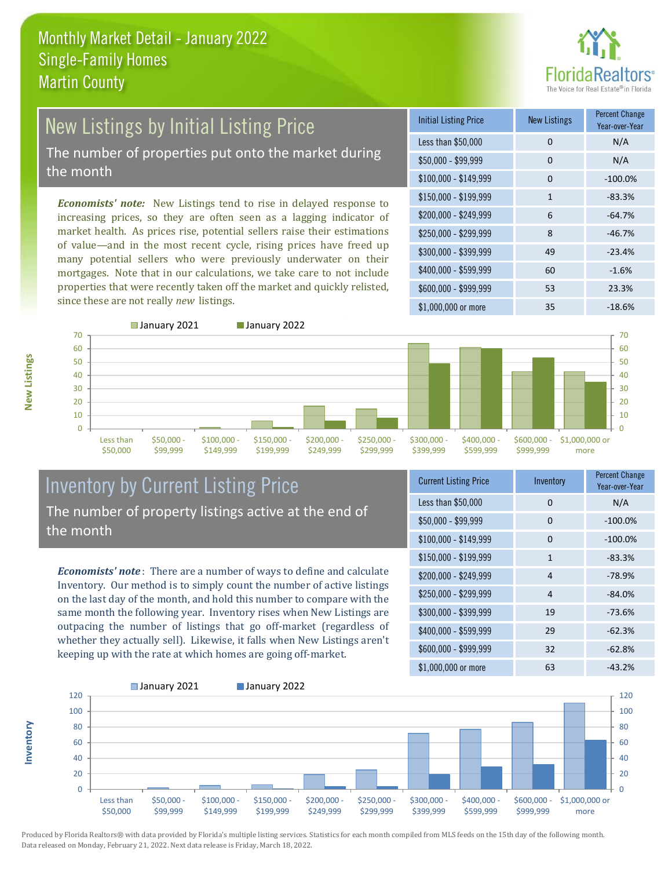

# **New Listings by Initial Listing Price**

The number of properties put onto the market during the month

*Economists' note:* New Listings tend to rise in delayed response to increasing prices, so they are often seen as a lagging indicator of market health. As prices rise, potential sellers raise their estimations of value—and in the most recent cycle, rising prices have freed up many potential sellers who were previously underwater on their mortgages. Note that in our calculations, we take care to not include properties that were recently taken off the market and quickly relisted, since these are not really *new* listings.

| <b>Initial Listing Price</b> | <b>New Listings</b> | <b>Percent Change</b><br>Year-over-Year |
|------------------------------|---------------------|-----------------------------------------|
| Less than \$50,000           | 0                   | N/A                                     |
| $$50,000 - $99,999$          | 0                   | N/A                                     |
| \$100,000 - \$149,999        | 0                   | $-100.0%$                               |
| $$150,000 - $199,999$        | 1                   | $-83.3%$                                |
| \$200,000 - \$249,999        | 6                   | $-64.7%$                                |
| \$250,000 - \$299,999        | 8                   | $-46.7%$                                |
| \$300,000 - \$399,999        | 49                  | $-23.4%$                                |
| \$400,000 - \$599,999        | 60                  | $-1.6%$                                 |
| \$600,000 - \$999,999        | 53                  | 23.3%                                   |
| \$1,000,000 or more          | 35                  | $-18.6%$                                |



**Inventory**



#### Inventory by Current Listing Price The number of property listings active at the end of the month

*Economists' note* : There are a number of ways to define and calculate Inventory. Our method is to simply count the number of active listings on the last day of the month, and hold this number to compare with the same month the following year. Inventory rises when New Listings are outpacing the number of listings that go off-market (regardless of whether they actually sell). Likewise, it falls when New Listings aren't keeping up with the rate at which homes are going off-market.

| <b>Current Listing Price</b> | Inventory      | <b>Percent Change</b><br>Year-over-Year |
|------------------------------|----------------|-----------------------------------------|
| Less than \$50,000           | 0              | N/A                                     |
| $$50,000 - $99,999$          | 0              | $-100.0%$                               |
| \$100,000 - \$149,999        | 0              | $-100.0%$                               |
| $$150,000 - $199,999$        | $\mathbf{1}$   | $-83.3%$                                |
| \$200,000 - \$249,999        | $\overline{4}$ | $-78.9%$                                |
| \$250,000 - \$299,999        | 4              | $-84.0%$                                |
| \$300,000 - \$399,999        | 19             | $-73.6%$                                |
| \$400,000 - \$599,999        | 29             | $-62.3%$                                |
| \$600,000 - \$999,999        | 32             | $-62.8%$                                |
| \$1,000,000 or more          | 63             | $-43.2%$                                |